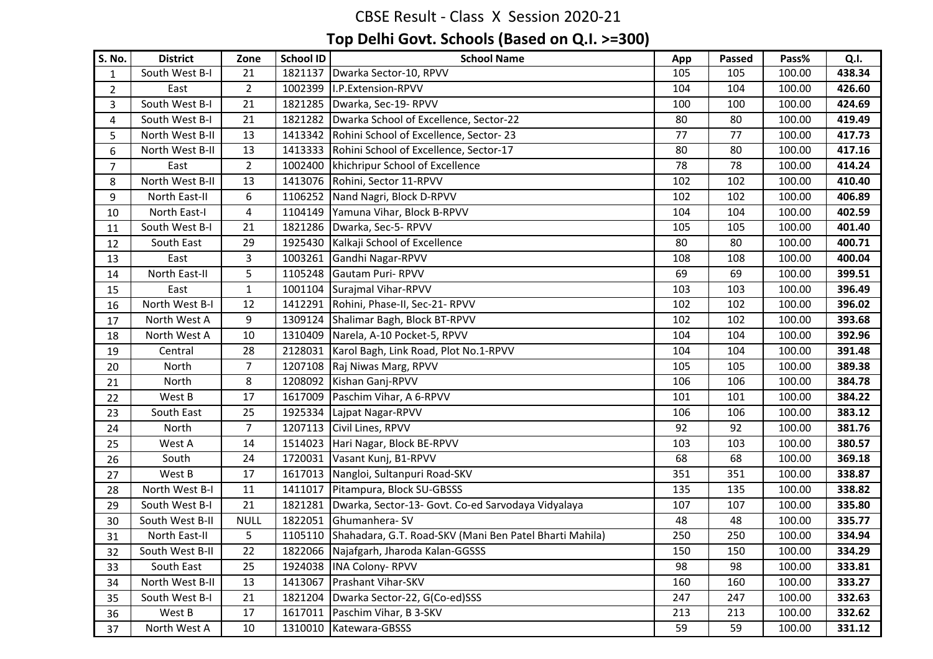| <b>S. No.</b>  | <b>District</b> | Zone           | <b>School ID</b> | <b>School Name</b>                                      | App | <b>Passed</b> | Pass%  | Q.I.   |
|----------------|-----------------|----------------|------------------|---------------------------------------------------------|-----|---------------|--------|--------|
| $\mathbf{1}$   | South West B-I  | 21             | 1821137          | Dwarka Sector-10, RPVV                                  | 105 | 105           | 100.00 | 438.34 |
| $\overline{2}$ | East            | $\overline{2}$ | 1002399          | I.P.Extension-RPVV                                      | 104 | 104           | 100.00 | 426.60 |
| 3              | South West B-I  | 21             | 1821285          | Dwarka, Sec-19- RPVV                                    | 100 | 100           | 100.00 | 424.69 |
| $\overline{4}$ | South West B-I  | 21             | 1821282          | Dwarka School of Excellence, Sector-22                  | 80  | 80            | 100.00 | 419.49 |
| 5              | North West B-II | 13             | 1413342          | Rohini School of Excellence, Sector-23                  | 77  | 77            | 100.00 | 417.73 |
| 6              | North West B-II | 13             | 1413333          | Rohini School of Excellence, Sector-17                  | 80  | 80            | 100.00 | 417.16 |
| $\overline{7}$ | East            | $2^{\circ}$    | 1002400          | khichripur School of Excellence                         | 78  | 78            | 100.00 | 414.24 |
| 8              | North West B-II | 13             | 1413076          | Rohini, Sector 11-RPVV                                  | 102 | 102           | 100.00 | 410.40 |
| 9              | North East-II   | 6              | 1106252          | Nand Nagri, Block D-RPVV                                | 102 | 102           | 100.00 | 406.89 |
| 10             | North East-I    | $\overline{4}$ | 1104149          | Yamuna Vihar, Block B-RPVV                              | 104 | 104           | 100.00 | 402.59 |
| 11             | South West B-I  | 21             | 1821286          | Dwarka, Sec-5-RPVV                                      | 105 | 105           | 100.00 | 401.40 |
| 12             | South East      | 29             | 1925430          | Kalkaji School of Excellence                            | 80  | 80            | 100.00 | 400.71 |
| 13             | East            | 3              | 1003261          | Gandhi Nagar-RPVV                                       | 108 | 108           | 100.00 | 400.04 |
| 14             | North East-II   | 5              |                  | 1105248 Gautam Puri-RPVV                                | 69  | 69            | 100.00 | 399.51 |
| 15             | East            | $\mathbf{1}$   |                  | 1001104 Surajmal Vihar-RPVV                             | 103 | 103           | 100.00 | 396.49 |
| 16             | North West B-I  | 12             | 1412291          | Rohini, Phase-II, Sec-21- RPVV                          | 102 | 102           | 100.00 | 396.02 |
| 17             | North West A    | 9              | 1309124          | Shalimar Bagh, Block BT-RPVV                            | 102 | 102           | 100.00 | 393.68 |
| 18             | North West A    | 10             | 1310409          | Narela, A-10 Pocket-5, RPVV                             | 104 | 104           | 100.00 | 392.96 |
| 19             | Central         | 28             | 2128031          | Karol Bagh, Link Road, Plot No.1-RPVV                   | 104 | 104           | 100.00 | 391.48 |
| 20             | North           | $\overline{7}$ | 1207108          | Raj Niwas Marg, RPVV                                    | 105 | 105           | 100.00 | 389.38 |
| 21             | North           | 8              | 1208092          | Kishan Ganj-RPVV                                        | 106 | 106           | 100.00 | 384.78 |
| 22             | West B          | 17             | 1617009          | Paschim Vihar, A 6-RPVV                                 | 101 | 101           | 100.00 | 384.22 |
| 23             | South East      | 25             | 1925334          | Lajpat Nagar-RPVV                                       | 106 | 106           | 100.00 | 383.12 |
| 24             | North           | $\overline{7}$ | 1207113          | Civil Lines, RPVV                                       | 92  | 92            | 100.00 | 381.76 |
| 25             | West A          | 14             | 1514023          | Hari Nagar, Block BE-RPVV                               | 103 | 103           | 100.00 | 380.57 |
| 26             | South           | 24             | 1720031          | Vasant Kunj, B1-RPVV                                    | 68  | 68            | 100.00 | 369.18 |
| 27             | West B          | 17             |                  | 1617013 Nangloi, Sultanpuri Road-SKV                    | 351 | 351           | 100.00 | 338.87 |
| 28             | North West B-I  | 11             | 1411017          | Pitampura, Block SU-GBSSS                               | 135 | 135           | 100.00 | 338.82 |
| 29             | South West B-I  | 21             | 1821281          | Dwarka, Sector-13- Govt. Co-ed Sarvodaya Vidyalaya      | 107 | 107           | 100.00 | 335.80 |
| 30             | South West B-II | <b>NULL</b>    | 1822051          | Ghumanhera-SV                                           | 48  | 48            | 100.00 | 335.77 |
| 31             | North East-II   | 5              | 1105110          | Shahadara, G.T. Road-SKV (Mani Ben Patel Bharti Mahila) | 250 | 250           | 100.00 | 334.94 |
| 32             | South West B-II | 22             |                  | 1822066 Najafgarh, Jharoda Kalan-GGSSS                  | 150 | 150           | 100.00 | 334.29 |
| 33             | South East      | 25             |                  | 1924038  INA Colony-RPVV                                | 98  | 98            | 100.00 | 333.81 |
| 34             | North West B-II | 13             | 1413067          | <b>Prashant Vihar-SKV</b>                               | 160 | 160           | 100.00 | 333.27 |
| 35             | South West B-I  | 21             | 1821204          | Dwarka Sector-22, G(Co-ed)SSS                           | 247 | 247           | 100.00 | 332.63 |
| 36             | West B          | 17             | 1617011          | Paschim Vihar, B 3-SKV                                  | 213 | 213           | 100.00 | 332.62 |
| 37             | North West A    | 10             | 1310010          | Katewara-GBSSS                                          | 59  | 59            | 100.00 | 331.12 |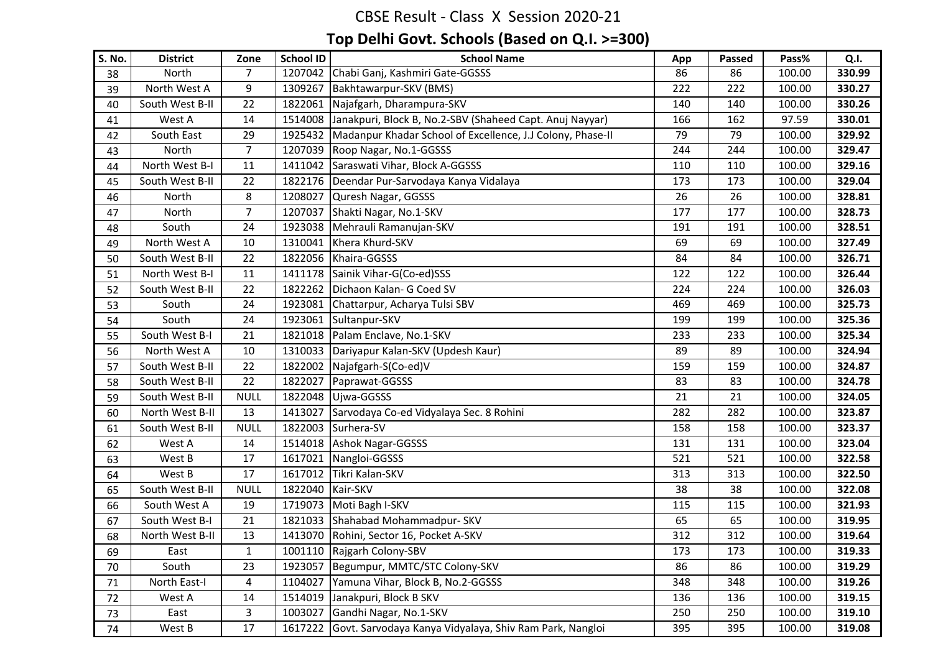| S. No. | <b>District</b> | Zone           | <b>School ID</b> | <b>School Name</b>                                         | App | <b>Passed</b> | Pass%  | Q.I.   |
|--------|-----------------|----------------|------------------|------------------------------------------------------------|-----|---------------|--------|--------|
| 38     | North           | $\overline{7}$ | 1207042          | Chabi Ganj, Kashmiri Gate-GGSSS                            | 86  | 86            | 100.00 | 330.99 |
| 39     | North West A    | 9              | 1309267          | Bakhtawarpur-SKV (BMS)                                     | 222 | 222           | 100.00 | 330.27 |
| 40     | South West B-II | 22             | 1822061          | Najafgarh, Dharampura-SKV                                  | 140 | 140           | 100.00 | 330.26 |
| 41     | West A          | 14             | 1514008          | Janakpuri, Block B, No.2-SBV (Shaheed Capt. Anuj Nayyar)   | 166 | 162           | 97.59  | 330.01 |
| 42     | South East      | 29             | 1925432          | Madanpur Khadar School of Excellence, J.J Colony, Phase-II | 79  | 79            | 100.00 | 329.92 |
| 43     | North           | $\overline{7}$ | 1207039          | Roop Nagar, No.1-GGSSS                                     | 244 | 244           | 100.00 | 329.47 |
| 44     | North West B-I  | 11             | 1411042          | Saraswati Vihar, Block A-GGSSS                             | 110 | 110           | 100.00 | 329.16 |
| 45     | South West B-II | 22             | 1822176          | Deendar Pur-Sarvodaya Kanya Vidalaya                       | 173 | 173           | 100.00 | 329.04 |
| 46     | North           | 8              | 1208027          | Quresh Nagar, GGSSS                                        | 26  | 26            | 100.00 | 328.81 |
| 47     | North           | $\overline{7}$ | 1207037          | Shakti Nagar, No.1-SKV                                     | 177 | 177           | 100.00 | 328.73 |
| 48     | South           | 24             |                  | 1923038 Mehrauli Ramanujan-SKV                             | 191 | 191           | 100.00 | 328.51 |
| 49     | North West A    | 10             | 1310041          | Khera Khurd-SKV                                            | 69  | 69            | 100.00 | 327.49 |
| 50     | South West B-II | 22             | 1822056          | Khaira-GGSSS                                               | 84  | 84            | 100.00 | 326.71 |
| 51     | North West B-I  | 11             | 1411178          | Sainik Vihar-G(Co-ed)SSS                                   | 122 | 122           | 100.00 | 326.44 |
| 52     | South West B-II | 22             | 1822262          | Dichaon Kalan- G Coed SV                                   | 224 | 224           | 100.00 | 326.03 |
| 53     | South           | 24             | 1923081          | Chattarpur, Acharya Tulsi SBV                              | 469 | 469           | 100.00 | 325.73 |
| 54     | South           | 24             | 1923061          | Sultanpur-SKV                                              | 199 | 199           | 100.00 | 325.36 |
| 55     | South West B-I  | 21             | 1821018          | Palam Enclave, No.1-SKV                                    | 233 | 233           | 100.00 | 325.34 |
| 56     | North West A    | 10             | 1310033          | Dariyapur Kalan-SKV (Updesh Kaur)                          | 89  | 89            | 100.00 | 324.94 |
| 57     | South West B-II | 22             | 1822002          | Najafgarh-S(Co-ed)V                                        | 159 | 159           | 100.00 | 324.87 |
| 58     | South West B-II | 22             | 1822027          | Paprawat-GGSSS                                             | 83  | 83            | 100.00 | 324.78 |
| 59     | South West B-II | <b>NULL</b>    | 1822048          | Ujwa-GGSSS                                                 | 21  | 21            | 100.00 | 324.05 |
| 60     | North West B-II | 13             | 1413027          | Sarvodaya Co-ed Vidyalaya Sec. 8 Rohini                    | 282 | 282           | 100.00 | 323.87 |
| 61     | South West B-II | <b>NULL</b>    | 1822003          | Surhera-SV                                                 | 158 | 158           | 100.00 | 323.37 |
| 62     | West A          | 14             | 1514018          | <b>Ashok Nagar-GGSSS</b>                                   | 131 | 131           | 100.00 | 323.04 |
| 63     | West B          | 17             | 1617021          | Nangloi-GGSSS                                              | 521 | 521           | 100.00 | 322.58 |
| 64     | West B          | 17             | 1617012          | Tikri Kalan-SKV                                            | 313 | 313           | 100.00 | 322.50 |
| 65     | South West B-II | <b>NULL</b>    | 1822040          | Kair-SKV                                                   | 38  | 38            | 100.00 | 322.08 |
| 66     | South West A    | 19             | 1719073          | Moti Bagh I-SKV                                            | 115 | 115           | 100.00 | 321.93 |
| 67     | South West B-I  | 21             |                  | 1821033 Shahabad Mohammadpur- SKV                          | 65  | 65            | 100.00 | 319.95 |
| 68     | North West B-II | 13             | 1413070          | Rohini, Sector 16, Pocket A-SKV                            | 312 | 312           | 100.00 | 319.64 |
| 69     | East            | $\mathbf{1}$   |                  | 1001110 Rajgarh Colony-SBV                                 | 173 | 173           | 100.00 | 319.33 |
| 70     | South           | 23             | 1923057          | Begumpur, MMTC/STC Colony-SKV                              | 86  | 86            | 100.00 | 319.29 |
| 71     | North East-I    | 4              | 1104027          | Yamuna Vihar, Block B, No.2-GGSSS                          | 348 | 348           | 100.00 | 319.26 |
| 72     | West A          | 14             | 1514019          | Janakpuri, Block B SKV                                     | 136 | 136           | 100.00 | 319.15 |
| 73     | East            | $\mathbf{3}$   | 1003027          | Gandhi Nagar, No.1-SKV                                     | 250 | 250           | 100.00 | 319.10 |
| 74     | West B          | 17             | 1617222          | Govt. Sarvodaya Kanya Vidyalaya, Shiv Ram Park, Nangloi    | 395 | 395           | 100.00 | 319.08 |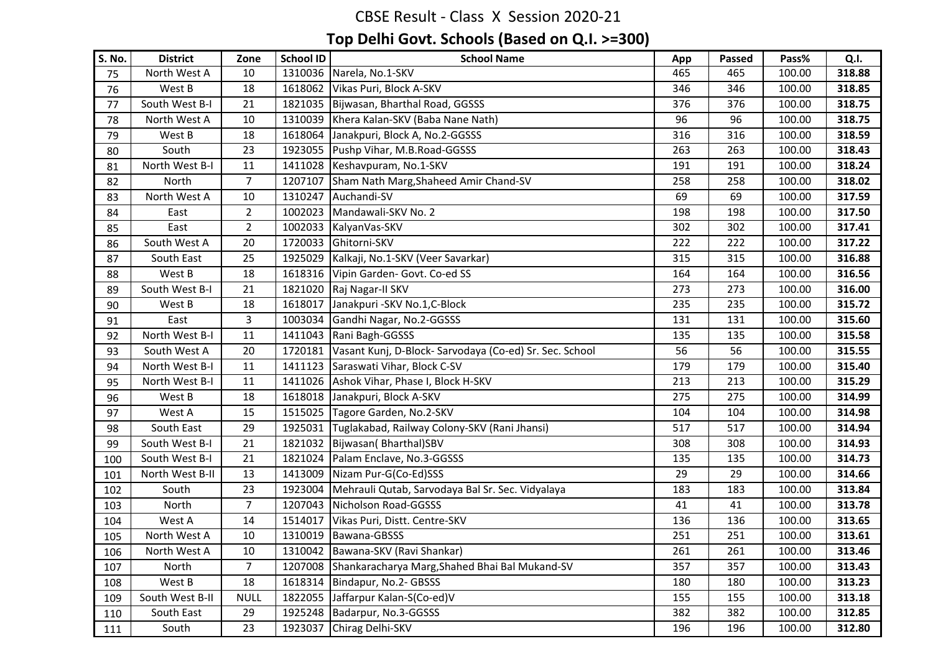| S. No. | <b>District</b> | Zone           | <b>School ID</b> | <b>School Name</b>                                      | App | <b>Passed</b> | Pass%  | Q.I.   |
|--------|-----------------|----------------|------------------|---------------------------------------------------------|-----|---------------|--------|--------|
| 75     | North West A    | 10             |                  | 1310036 Narela, No.1-SKV                                | 465 | 465           | 100.00 | 318.88 |
| 76     | West B          | 18             | 1618062          | Vikas Puri, Block A-SKV                                 | 346 | 346           | 100.00 | 318.85 |
| 77     | South West B-I  | 21             | 1821035          | Bijwasan, Bharthal Road, GGSSS                          | 376 | 376           | 100.00 | 318.75 |
| 78     | North West A    | 10             | 1310039          | Khera Kalan-SKV (Baba Nane Nath)                        | 96  | 96            | 100.00 | 318.75 |
| 79     | West B          | 18             | 1618064          | Janakpuri, Block A, No.2-GGSSS                          | 316 | 316           | 100.00 | 318.59 |
| 80     | South           | 23             | 1923055          | Pushp Vihar, M.B.Road-GGSSS                             | 263 | 263           | 100.00 | 318.43 |
| 81     | North West B-I  | 11             | 1411028          | Keshavpuram, No.1-SKV                                   | 191 | 191           | 100.00 | 318.24 |
| 82     | North           | $\overline{7}$ | 1207107          | Sham Nath Marg, Shaheed Amir Chand-SV                   | 258 | 258           | 100.00 | 318.02 |
| 83     | North West A    | 10             | 1310247          | Auchandi-SV                                             | 69  | 69            | 100.00 | 317.59 |
| 84     | East            | $\overline{2}$ | 1002023          | Mandawali-SKV No. 2                                     | 198 | 198           | 100.00 | 317.50 |
| 85     | East            | $\overline{2}$ |                  | 1002033 KalyanVas-SKV                                   | 302 | 302           | 100.00 | 317.41 |
| 86     | South West A    | 20             | 1720033          | Ghitorni-SKV                                            | 222 | 222           | 100.00 | 317.22 |
| 87     | South East      | 25             | 1925029          | Kalkaji, No.1-SKV (Veer Savarkar)                       | 315 | 315           | 100.00 | 316.88 |
| 88     | West B          | 18             | 1618316          | Vipin Garden- Govt. Co-ed SS                            | 164 | 164           | 100.00 | 316.56 |
| 89     | South West B-I  | 21             | 1821020          | Raj Nagar-II SKV                                        | 273 | 273           | 100.00 | 316.00 |
| 90     | West B          | 18             | 1618017          | Janakpuri - SKV No.1, C-Block                           | 235 | 235           | 100.00 | 315.72 |
| 91     | East            | 3              | 1003034          | Gandhi Nagar, No.2-GGSSS                                | 131 | 131           | 100.00 | 315.60 |
| 92     | North West B-I  | 11             | 1411043          | Rani Bagh-GGSSS                                         | 135 | 135           | 100.00 | 315.58 |
| 93     | South West A    | 20             | 1720181          | Vasant Kunj, D-Block- Sarvodaya (Co-ed) Sr. Sec. School | 56  | 56            | 100.00 | 315.55 |
| 94     | North West B-I  | 11             | 1411123          | Saraswati Vihar, Block C-SV                             | 179 | 179           | 100.00 | 315.40 |
| 95     | North West B-I  | 11             |                  | 1411026 Ashok Vihar, Phase I, Block H-SKV               | 213 | 213           | 100.00 | 315.29 |
| 96     | West B          | 18             | 1618018          | Janakpuri, Block A-SKV                                  | 275 | 275           | 100.00 | 314.99 |
| 97     | West A          | 15             | 1515025          | Tagore Garden, No.2-SKV                                 | 104 | 104           | 100.00 | 314.98 |
| 98     | South East      | 29             |                  | 1925031 Tuglakabad, Railway Colony-SKV (Rani Jhansi)    | 517 | 517           | 100.00 | 314.94 |
| 99     | South West B-I  | 21             | 1821032          | Bijwasan(Bharthal)SBV                                   | 308 | 308           | 100.00 | 314.93 |
| 100    | South West B-I  | 21             | 1821024          | Palam Enclave, No.3-GGSSS                               | 135 | 135           | 100.00 | 314.73 |
| 101    | North West B-II | 13             | 1413009          | Nizam Pur-G(Co-Ed)SSS                                   | 29  | 29            | 100.00 | 314.66 |
| 102    | South           | 23             | 1923004          | Mehrauli Qutab, Sarvodaya Bal Sr. Sec. Vidyalaya        | 183 | 183           | 100.00 | 313.84 |
| 103    | North           | $\overline{7}$ | 1207043          | Nicholson Road-GGSSS                                    | 41  | 41            | 100.00 | 313.78 |
| 104    | West A          | 14             | 1514017          | Vikas Puri, Distt. Centre-SKV                           | 136 | 136           | 100.00 | 313.65 |
| 105    | North West A    | 10             | 1310019          | Bawana-GBSSS                                            | 251 | 251           | 100.00 | 313.61 |
| 106    | North West A    | 10             |                  | 1310042 Bawana-SKV (Ravi Shankar)                       | 261 | 261           | 100.00 | 313.46 |
| 107    | North           | $\overline{7}$ | 1207008          | Shankaracharya Marg, Shahed Bhai Bal Mukand-SV          | 357 | 357           | 100.00 | 313.43 |
| 108    | West B          | 18             | 1618314          | Bindapur, No.2- GBSSS                                   | 180 | 180           | 100.00 | 313.23 |
| 109    | South West B-II | <b>NULL</b>    | 1822055          | Jaffarpur Kalan-S(Co-ed)V                               | 155 | 155           | 100.00 | 313.18 |
| 110    | South East      | 29             | 1925248          | Badarpur, No.3-GGSSS                                    | 382 | 382           | 100.00 | 312.85 |
| 111    | South           | 23             | 1923037          | Chirag Delhi-SKV                                        | 196 | 196           | 100.00 | 312.80 |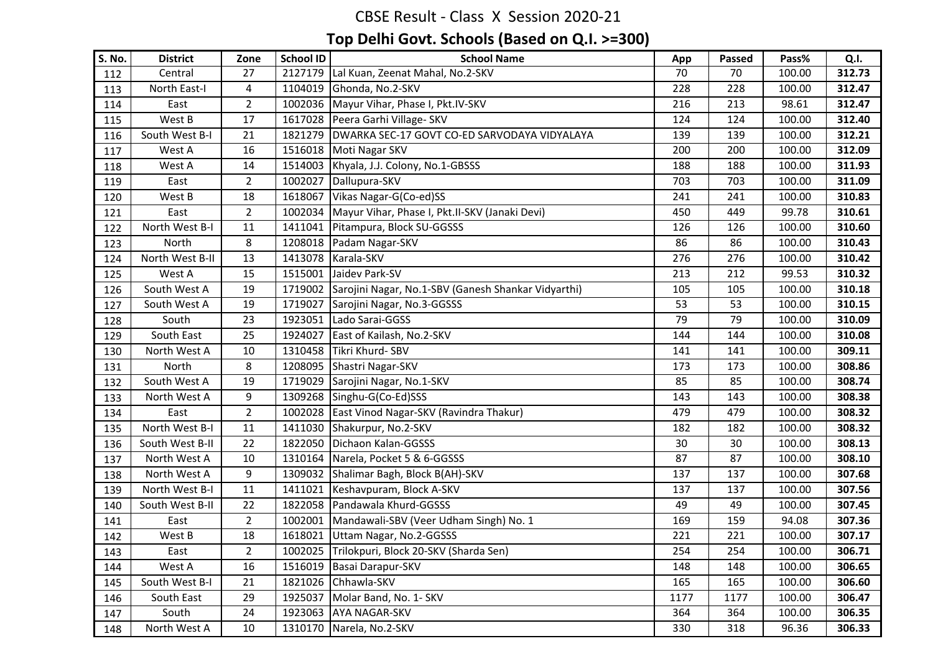| <b>S. No.</b> | <b>District</b> | Zone           | <b>School ID</b> | <b>School Name</b>                                          | App  | <b>Passed</b> | Pass%  | Q.I.   |
|---------------|-----------------|----------------|------------------|-------------------------------------------------------------|------|---------------|--------|--------|
| 112           | Central         | 27             | 2127179          | Lal Kuan, Zeenat Mahal, No.2-SKV                            | 70   | 70            | 100.00 | 312.73 |
| 113           | North East-I    | 4              | 1104019          | Ghonda, No.2-SKV                                            | 228  | 228           | 100.00 | 312.47 |
| 114           | East            | $\mathbf{2}$   | 1002036          | Mayur Vihar, Phase I, Pkt.IV-SKV                            | 216  | 213           | 98.61  | 312.47 |
| 115           | West B          | 17             | 1617028          | Peera Garhi Village- SKV                                    | 124  | 124           | 100.00 | 312.40 |
| 116           | South West B-I  | 21             | 1821279          | DWARKA SEC-17 GOVT CO-ED SARVODAYA VIDYALAYA                | 139  | 139           | 100.00 | 312.21 |
| 117           | West A          | 16             | 1516018          | Moti Nagar SKV                                              | 200  | 200           | 100.00 | 312.09 |
| 118           | West A          | 14             | 1514003          | Khyala, J.J. Colony, No.1-GBSSS                             | 188  | 188           | 100.00 | 311.93 |
| 119           | East            | $\overline{2}$ | 1002027          | Dallupura-SKV                                               | 703  | 703           | 100.00 | 311.09 |
| 120           | West B          | 18             | 1618067          | Vikas Nagar-G(Co-ed)SS                                      | 241  | 241           | 100.00 | 310.83 |
| 121           | East            | $\overline{2}$ | 1002034          | Mayur Vihar, Phase I, Pkt.II-SKV (Janaki Devi)              | 450  | 449           | 99.78  | 310.61 |
| 122           | North West B-I  | 11             | 1411041          | Pitampura, Block SU-GGSSS                                   | 126  | 126           | 100.00 | 310.60 |
| 123           | North           | 8              | 1208018          | Padam Nagar-SKV                                             | 86   | 86            | 100.00 | 310.43 |
| 124           | North West B-II | 13             | 1413078          | Karala-SKV                                                  | 276  | 276           | 100.00 | 310.42 |
| 125           | West A          | 15             | 1515001          | Jaidev Park-SV                                              | 213  | 212           | 99.53  | 310.32 |
| 126           | South West A    | 19             |                  | 1719002 Sarojini Nagar, No.1-SBV (Ganesh Shankar Vidyarthi) | 105  | 105           | 100.00 | 310.18 |
| 127           | South West A    | 19             | 1719027          | Sarojini Nagar, No.3-GGSSS                                  | 53   | 53            | 100.00 | 310.15 |
| 128           | South           | 23             | 1923051          | Lado Sarai-GGSS                                             | 79   | 79            | 100.00 | 310.09 |
| 129           | South East      | 25             | 1924027          | East of Kailash, No.2-SKV                                   | 144  | 144           | 100.00 | 310.08 |
| 130           | North West A    | 10             | 1310458          | Tikri Khurd-SBV                                             | 141  | 141           | 100.00 | 309.11 |
| 131           | North           | 8              |                  | 1208095 Shastri Nagar-SKV                                   | 173  | 173           | 100.00 | 308.86 |
| 132           | South West A    | 19             | 1719029          | Sarojini Nagar, No.1-SKV                                    | 85   | 85            | 100.00 | 308.74 |
| 133           | North West A    | 9              | 1309268          | Singhu-G(Co-Ed)SSS                                          | 143  | 143           | 100.00 | 308.38 |
| 134           | East            | $\overline{2}$ | 1002028          | East Vinod Nagar-SKV (Ravindra Thakur)                      | 479  | 479           | 100.00 | 308.32 |
| 135           | North West B-I  | 11             |                  | 1411030 Shakurpur, No.2-SKV                                 | 182  | 182           | 100.00 | 308.32 |
| 136           | South West B-II | 22             | 1822050          | Dichaon Kalan-GGSSS                                         | 30   | 30            | 100.00 | 308.13 |
| 137           | North West A    | 10             | 1310164          | Narela, Pocket 5 & 6-GGSSS                                  | 87   | 87            | 100.00 | 308.10 |
| 138           | North West A    | 9              |                  | 1309032 Shalimar Bagh, Block B(AH)-SKV                      | 137  | 137           | 100.00 | 307.68 |
| 139           | North West B-I  | 11             | 1411021          | Keshavpuram, Block A-SKV                                    | 137  | 137           | 100.00 | 307.56 |
| 140           | South West B-II | 22             | 1822058          | Pandawala Khurd-GGSSS                                       | 49   | 49            | 100.00 | 307.45 |
| 141           | East            | $\overline{2}$ | 1002001          | Mandawali-SBV (Veer Udham Singh) No. 1                      | 169  | 159           | 94.08  | 307.36 |
| 142           | West B          | 18             | 1618021          | Uttam Nagar, No.2-GGSSS                                     | 221  | 221           | 100.00 | 307.17 |
| 143           | East            | $\overline{2}$ |                  | 1002025 Trilokpuri, Block 20-SKV (Sharda Sen)               | 254  | 254           | 100.00 | 306.71 |
| 144           | West A          | 16             | 1516019          | Basai Darapur-SKV                                           | 148  | 148           | 100.00 | 306.65 |
| 145           | South West B-I  | 21             | 1821026          | Chhawla-SKV                                                 | 165  | 165           | 100.00 | 306.60 |
| 146           | South East      | 29             | 1925037          | Molar Band, No. 1- SKV                                      | 1177 | 1177          | 100.00 | 306.47 |
| 147           | South           | 24             | 1923063          | <b>AYA NAGAR-SKV</b>                                        | 364  | 364           | 100.00 | 306.35 |
| 148           | North West A    | 10             | 1310170          | Narela, No.2-SKV                                            | 330  | 318           | 96.36  | 306.33 |